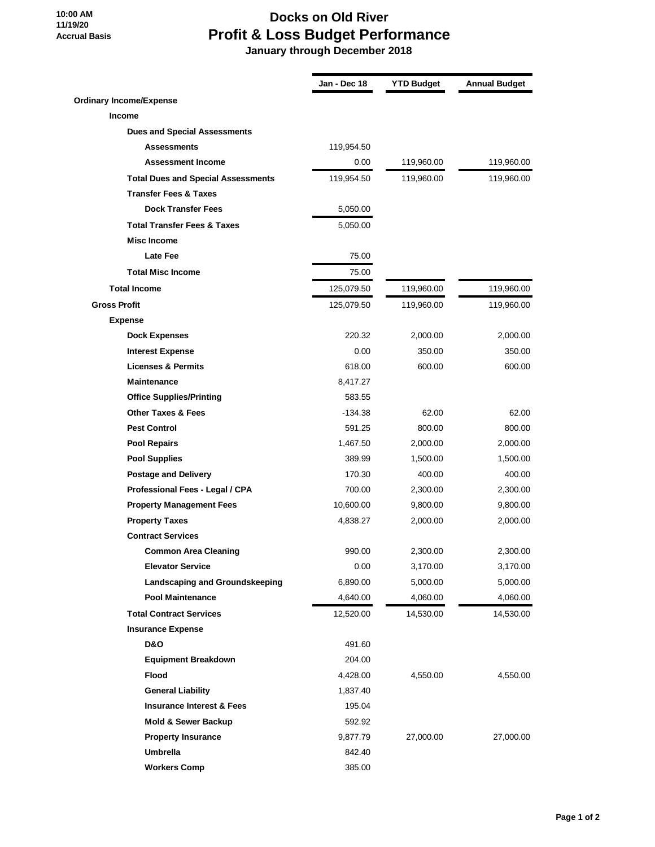## **10:00 AM 11/19/20 Accrual Basis**

## **Docks on Old River Profit & Loss Budget Performance**

 **January through December 2018**

|                                           | Jan - Dec 18 | <b>YTD Budget</b> | <b>Annual Budget</b> |
|-------------------------------------------|--------------|-------------------|----------------------|
| <b>Ordinary Income/Expense</b>            |              |                   |                      |
| <b>Income</b>                             |              |                   |                      |
| <b>Dues and Special Assessments</b>       |              |                   |                      |
| <b>Assessments</b>                        | 119,954.50   |                   |                      |
| <b>Assessment Income</b>                  | 0.00         | 119,960.00        | 119,960.00           |
| <b>Total Dues and Special Assessments</b> | 119,954.50   | 119,960.00        | 119,960.00           |
| <b>Transfer Fees &amp; Taxes</b>          |              |                   |                      |
| <b>Dock Transfer Fees</b>                 | 5,050.00     |                   |                      |
| <b>Total Transfer Fees &amp; Taxes</b>    | 5,050.00     |                   |                      |
| <b>Misc Income</b>                        |              |                   |                      |
| <b>Late Fee</b>                           | 75.00        |                   |                      |
| <b>Total Misc Income</b>                  | 75.00        |                   |                      |
| <b>Total Income</b>                       | 125,079.50   | 119,960.00        | 119,960.00           |
| <b>Gross Profit</b>                       | 125,079.50   | 119,960.00        | 119,960.00           |
| <b>Expense</b>                            |              |                   |                      |
| <b>Dock Expenses</b>                      | 220.32       | 2,000.00          | 2,000.00             |
| <b>Interest Expense</b>                   | 0.00         | 350.00            | 350.00               |
| <b>Licenses &amp; Permits</b>             | 618.00       | 600.00            | 600.00               |
| <b>Maintenance</b>                        | 8,417.27     |                   |                      |
| <b>Office Supplies/Printing</b>           | 583.55       |                   |                      |
| <b>Other Taxes &amp; Fees</b>             | $-134.38$    | 62.00             | 62.00                |
| <b>Pest Control</b>                       | 591.25       | 800.00            | 800.00               |
| <b>Pool Repairs</b>                       | 1,467.50     | 2,000.00          | 2,000.00             |
| <b>Pool Supplies</b>                      | 389.99       | 1,500.00          | 1,500.00             |
| <b>Postage and Delivery</b>               | 170.30       | 400.00            | 400.00               |
| Professional Fees - Legal / CPA           | 700.00       | 2,300.00          | 2,300.00             |
| <b>Property Management Fees</b>           | 10,600.00    | 9,800.00          | 9,800.00             |
| <b>Property Taxes</b>                     | 4,838.27     | 2,000.00          | 2,000.00             |
| <b>Contract Services</b>                  |              |                   |                      |
| <b>Common Area Cleaning</b>               | 990.00       | 2,300.00          | 2,300.00             |
| <b>Elevator Service</b>                   | 0.00         | 3,170.00          | 3,170.00             |
| Landscaping and Groundskeeping            | 6,890.00     | 5,000.00          | 5,000.00             |
| <b>Pool Maintenance</b>                   | 4,640.00     | 4,060.00          | 4,060.00             |
| <b>Total Contract Services</b>            | 12,520.00    | 14,530.00         | 14,530.00            |
| <b>Insurance Expense</b>                  |              |                   |                      |
| <b>D&amp;O</b>                            | 491.60       |                   |                      |
| <b>Equipment Breakdown</b>                | 204.00       |                   |                      |
| Flood                                     | 4,428.00     | 4,550.00          | 4,550.00             |
| <b>General Liability</b>                  | 1,837.40     |                   |                      |
| <b>Insurance Interest &amp; Fees</b>      | 195.04       |                   |                      |
| Mold & Sewer Backup                       | 592.92       |                   |                      |
| <b>Property Insurance</b>                 | 9,877.79     | 27,000.00         | 27,000.00            |
| <b>Umbrella</b>                           | 842.40       |                   |                      |
| <b>Workers Comp</b>                       | 385.00       |                   |                      |